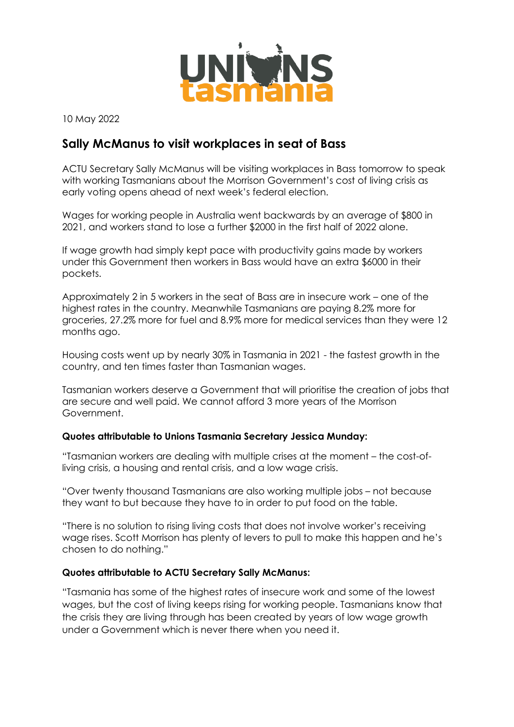

10 May 2022

# **Sally McManus to visit workplaces in seat of Bass**

ACTU Secretary Sally McManus will be visiting workplaces in Bass tomorrow to speak with working Tasmanians about the Morrison Government's cost of living crisis as early voting opens ahead of next week's federal election.

Wages for working people in Australia went backwards by an average of \$800 in 2021, and workers stand to lose a further \$2000 in the first half of 2022 alone.

If wage growth had simply kept pace with productivity gains made by workers under this Government then workers in Bass would have an extra \$6000 in their pockets.

Approximately 2 in 5 workers in the seat of Bass are in insecure work – one of the highest rates in the country. Meanwhile Tasmanians are paying 8.2% more for groceries, 27.2% more for fuel and 8.9% more for medical services than they were 12 months ago.

Housing costs went up by nearly 30% in Tasmania in 2021 - the fastest growth in the country, and ten times faster than Tasmanian wages.

Tasmanian workers deserve a Government that will prioritise the creation of jobs that are secure and well paid. We cannot afford 3 more years of the Morrison Government.

## **Quotes attributable to Unions Tasmania Secretary Jessica Munday:**

"Tasmanian workers are dealing with multiple crises at the moment – the cost-ofliving crisis, a housing and rental crisis, and a low wage crisis.

"Over twenty thousand Tasmanians are also working multiple jobs – not because they want to but because they have to in order to put food on the table.

"There is no solution to rising living costs that does not involve worker's receiving wage rises. Scott Morrison has plenty of levers to pull to make this happen and he's chosen to do nothing."

## **Quotes attributable to ACTU Secretary Sally McManus:**

"Tasmania has some of the highest rates of insecure work and some of the lowest wages, but the cost of living keeps rising for working people. Tasmanians know that the crisis they are living through has been created by years of low wage growth under a Government which is never there when you need it.